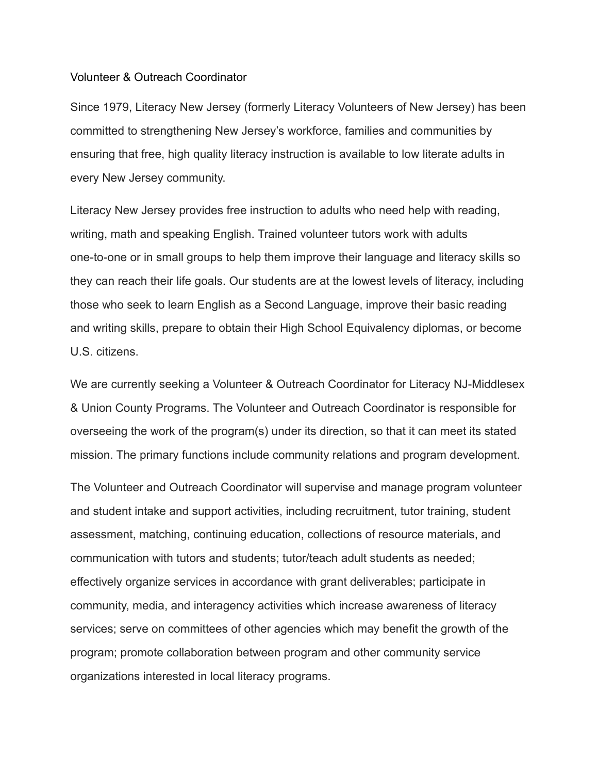## Volunteer & Outreach Coordinator

Since 1979, Literacy New Jersey (formerly Literacy Volunteers of New Jersey) has been committed to strengthening New Jersey's workforce, families and communities by ensuring that free, high quality literacy instruction is available to low literate adults in every New Jersey community.

Literacy New Jersey provides free instruction to adults who need help with reading, writing, math and speaking English. Trained volunteer tutors work with adults one-to-one or in small groups to help them improve their language and literacy skills so they can reach their life goals. Our students are at the lowest levels of literacy, including those who seek to learn English as a Second Language, improve their basic reading and writing skills, prepare to obtain their High School Equivalency diplomas, or become U.S. citizens.

We are currently seeking a Volunteer & Outreach Coordinator for Literacy NJ-Middlesex & Union County Programs. The Volunteer and Outreach Coordinator is responsible for overseeing the work of the program(s) under its direction, so that it can meet its stated mission. The primary functions include community relations and program development.

The Volunteer and Outreach Coordinator will supervise and manage program volunteer and student intake and support activities, including recruitment, tutor training, student assessment, matching, continuing education, collections of resource materials, and communication with tutors and students; tutor/teach adult students as needed; effectively organize services in accordance with grant deliverables; participate in community, media, and interagency activities which increase awareness of literacy services; serve on committees of other agencies which may benefit the growth of the program; promote collaboration between program and other community service organizations interested in local literacy programs.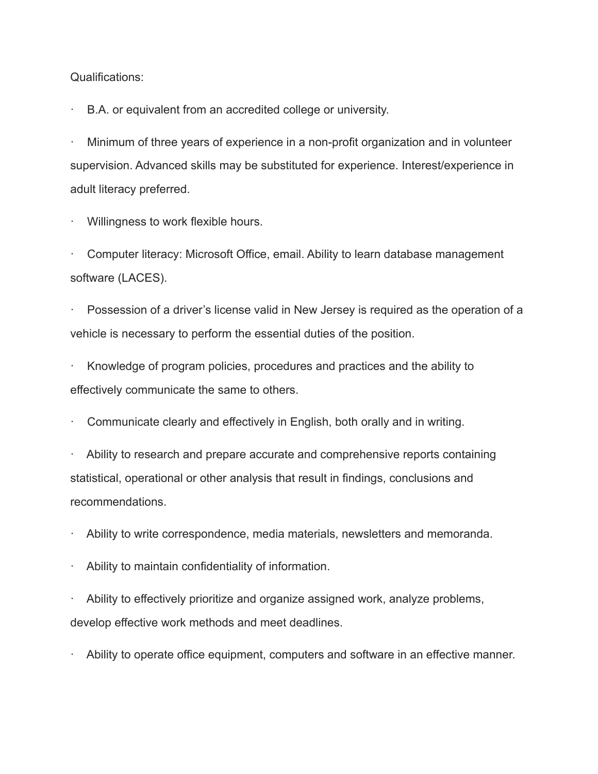Qualifications:

B.A. or equivalent from an accredited college or university.

· Minimum of three years of experience in a non-profit organization and in volunteer supervision. Advanced skills may be substituted for experience. Interest/experience in adult literacy preferred.

Willingness to work flexible hours.

· Computer literacy: Microsoft Office, email. Ability to learn database management software (LACES).

Possession of a driver's license valid in New Jersey is required as the operation of a vehicle is necessary to perform the essential duties of the position.

Knowledge of program policies, procedures and practices and the ability to effectively communicate the same to others.

Communicate clearly and effectively in English, both orally and in writing.

Ability to research and prepare accurate and comprehensive reports containing statistical, operational or other analysis that result in findings, conclusions and recommendations.

· Ability to write correspondence, media materials, newsletters and memoranda.

Ability to maintain confidentiality of information.

Ability to effectively prioritize and organize assigned work, analyze problems, develop effective work methods and meet deadlines.

Ability to operate office equipment, computers and software in an effective manner.